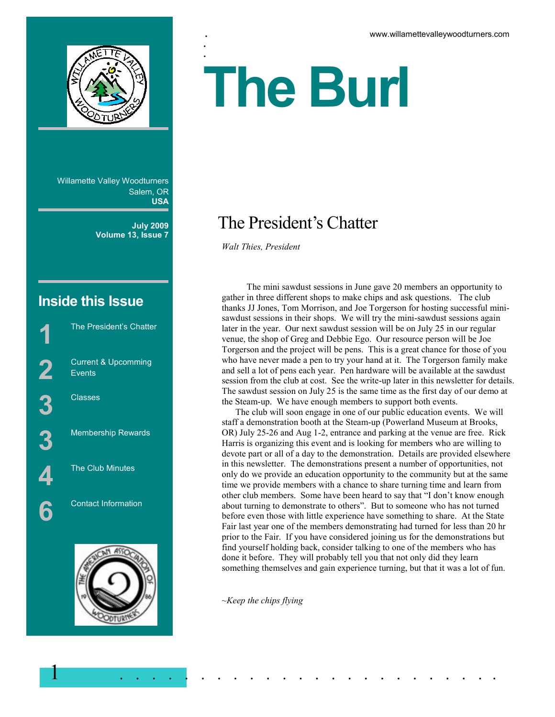

Willamette Valley Woodturners Salem, OR **USA**

> **July 2009 Volume 13, Issue 7**

# **Inside this Issue**

The President's Chatter Current & Upcomming **Events 3** Classes Membership Rewards The Club Minutes Contact Information



# :<br>. **The Burl**

# The President's Chatter

*Walt Thies, President*

.<br>.

 The mini sawdust sessions in June gave 20 members an opportunity to gather in three different shops to make chips and ask questions. The club thanks JJ Jones, Tom Morrison, and Joe Torgerson for hosting successful minisawdust sessions in their shops. We will try the mini-sawdust sessions again later in the year. Our next sawdust session will be on July 25 in our regular venue, the shop of Greg and Debbie Ego. Our resource person will be Joe Torgerson and the project will be pens. This is a great chance for those of you who have never made a pen to try your hand at it. The Torgerson family make and sell a lot of pens each year. Pen hardware will be available at the sawdust session from the club at cost. See the write-up later in this newsletter for details. The sawdust session on July 25 is the same time as the first day of our demo at the Steam-up. We have enough members to support both events.

 The club will soon engage in one of our public education events. We will staff a demonstration booth at the Steam-up (Powerland Museum at Brooks, OR) July 25-26 and Aug 1-2, entrance and parking at the venue are free. Rick Harris is organizing this event and is looking for members who are willing to devote part or all of a day to the demonstration. Details are provided elsewhere in this newsletter. The demonstrations present a number of opportunities, not only do we provide an education opportunity to the community but at the same time we provide members with a chance to share turning time and learn from other club members. Some have been heard to say that "I don't know enough about turning to demonstrate to others". But to someone who has not turned before even those with little experience have something to share. At the State Fair last year one of the members demonstrating had turned for less than 20 hr prior to the Fair. If you have considered joining us for the demonstrations but find yourself holding back, consider talking to one of the members who has done it before. They will probably tell you that not only did they learn something themselves and gain experience turning, but that it was a lot of fun.

*~Keep the chips flying* 

1 . . . . . . . . . . . . . . . . . . . . . . . .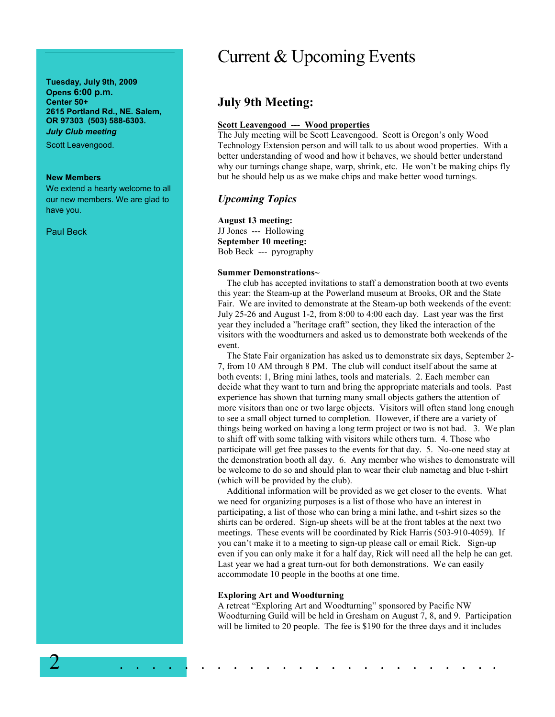**Tuesday, July 9th, 2009 Opens 6:00 p.m. Center 50+ 2615 Portland Rd., NE. Salem, OR 97303 (503) 588-6303.**  *July Club meeting* 

Scott Leavengood.

#### **New Members**

We extend a hearty welcome to all our new members. We are glad to have you.

Paul Beck

# Current & Upcoming Events

# **July 9th Meeting:**

## **Scott Leavengood --- Wood properties**

The July meeting will be Scott Leavengood. Scott is Oregon's only Wood Technology Extension person and will talk to us about wood properties. With a better understanding of wood and how it behaves, we should better understand why our turnings change shape, warp, shrink, etc. He won't be making chips fly but he should help us as we make chips and make better wood turnings.

# *Upcoming Topics*

#### **August 13 meeting:**

JJ Jones --- Hollowing **September 10 meeting:**  Bob Beck --- pyrography

#### **Summer Demonstrations~**

 The club has accepted invitations to staff a demonstration booth at two events this year: the Steam-up at the Powerland museum at Brooks, OR and the State Fair. We are invited to demonstrate at the Steam-up both weekends of the event: July 25-26 and August 1-2, from 8:00 to 4:00 each day. Last year was the first year they included a "heritage craft" section, they liked the interaction of the visitors with the woodturners and asked us to demonstrate both weekends of the event.

 The State Fair organization has asked us to demonstrate six days, September 2- 7, from 10 AM through 8 PM. The club will conduct itself about the same at both events: 1, Bring mini lathes, tools and materials. 2. Each member can decide what they want to turn and bring the appropriate materials and tools. Past experience has shown that turning many small objects gathers the attention of more visitors than one or two large objects. Visitors will often stand long enough to see a small object turned to completion. However, if there are a variety of things being worked on having a long term project or two is not bad. 3. We plan to shift off with some talking with visitors while others turn. 4. Those who participate will get free passes to the events for that day. 5. No-one need stay at the demonstration booth all day. 6. Any member who wishes to demonstrate will be welcome to do so and should plan to wear their club nametag and blue t-shirt (which will be provided by the club).

 Additional information will be provided as we get closer to the events. What we need for organizing purposes is a list of those who have an interest in participating, a list of those who can bring a mini lathe, and t-shirt sizes so the shirts can be ordered. Sign-up sheets will be at the front tables at the next two meetings. These events will be coordinated by Rick Harris (503-910-4059). If you can't make it to a meeting to sign-up please call or email Rick. Sign-up even if you can only make it for a half day, Rick will need all the help he can get. Last year we had a great turn-out for both demonstrations. We can easily accommodate 10 people in the booths at one time.

#### **Exploring Art and Woodturning**

2 . . . . . . . . . . . . . . . . . . . . . . . .

A retreat "Exploring Art and Woodturning" sponsored by Pacific NW Woodturning Guild will be held in Gresham on August 7, 8, and 9. Participation will be limited to 20 people. The fee is \$190 for the three days and it includes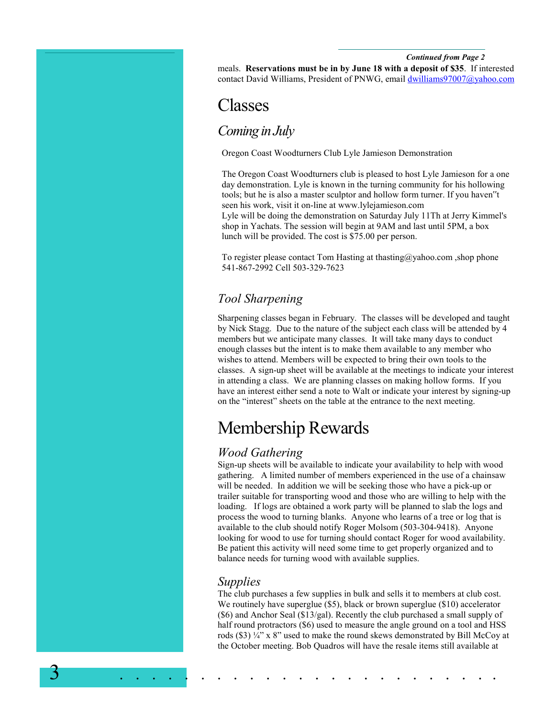#### *Continued from Page 2*

meals. **Reservations must be in by June 18 with a deposit of \$35**. If interested contact David Williams, President of PNWG, email dwilliams97007@yahoo.com

# Classes

# *Coming in July*

Oregon Coast Woodturners Club Lyle Jamieson Demonstration

The Oregon Coast Woodturners club is pleased to host Lyle Jamieson for a one day demonstration. Lyle is known in the turning community for his hollowing tools; but he is also a master sculptor and hollow form turner. If you haven"t seen his work, visit it on-line at www.lylejamieson.com Lyle will be doing the demonstration on Saturday July 11Th at Jerry Kimmel's shop in Yachats. The session will begin at 9AM and last until 5PM, a box lunch will be provided. The cost is \$75.00 per person.

To register please contact Tom Hasting at thasting@yahoo.com ,shop phone 541-867-2992 Cell 503-329-7623

# *Tool Sharpening*

Sharpening classes began in February. The classes will be developed and taught by Nick Stagg. Due to the nature of the subject each class will be attended by 4 members but we anticipate many classes. It will take many days to conduct enough classes but the intent is to make them available to any member who wishes to attend. Members will be expected to bring their own tools to the classes. A sign-up sheet will be available at the meetings to indicate your interest in attending a class. We are planning classes on making hollow forms. If you have an interest either send a note to Walt or indicate your interest by signing-up on the "interest" sheets on the table at the entrance to the next meeting.

# Membership Rewards

# *Wood Gathering*

Sign-up sheets will be available to indicate your availability to help with wood gathering. A limited number of members experienced in the use of a chainsaw will be needed. In addition we will be seeking those who have a pick-up or trailer suitable for transporting wood and those who are willing to help with the loading. If logs are obtained a work party will be planned to slab the logs and process the wood to turning blanks. Anyone who learns of a tree or log that is available to the club should notify Roger Molsom (503-304-9418). Anyone looking for wood to use for turning should contact Roger for wood availability. Be patient this activity will need some time to get properly organized and to balance needs for turning wood with available supplies.

## *Supplies*

3 . . . . . . . . . . . . . . . . . . . . . . . .

The club purchases a few supplies in bulk and sells it to members at club cost. We routinely have superglue (\$5), black or brown superglue (\$10) accelerator (\$6) and Anchor Seal (\$13/gal). Recently the club purchased a small supply of half round protractors (\$6) used to measure the angle ground on a tool and HSS rods (\$3)  $\frac{1}{4}$ " x 8" used to make the round skews demonstrated by Bill McCoy at the October meeting. Bob Quadros will have the resale items still available at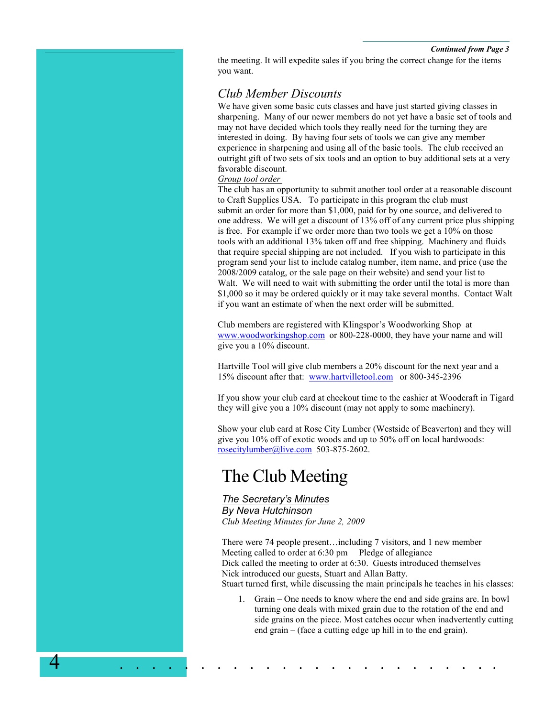*Continued from Page 3*

the meeting. It will expedite sales if you bring the correct change for the items you want.

# *Club Member Discounts*

We have given some basic cuts classes and have just started giving classes in sharpening. Many of our newer members do not yet have a basic set of tools and may not have decided which tools they really need for the turning they are interested in doing. By having four sets of tools we can give any member experience in sharpening and using all of the basic tools. The club received an outright gift of two sets of six tools and an option to buy additional sets at a very favorable discount.

#### *Group tool order*

The club has an opportunity to submit another tool order at a reasonable discount to Craft Supplies USA. To participate in this program the club must submit an order for more than \$1,000, paid for by one source, and delivered to one address. We will get a discount of 13% off of any current price plus shipping is free. For example if we order more than two tools we get a 10% on those tools with an additional 13% taken off and free shipping. Machinery and fluids that require special shipping are not included. If you wish to participate in this program send your list to include catalog number, item name, and price (use the 2008/2009 catalog, or the sale page on their website) and send your list to Walt. We will need to wait with submitting the order until the total is more than \$1,000 so it may be ordered quickly or it may take several months. Contact Walt if you want an estimate of when the next order will be submitted.

Club members are registered with Klingspor's Woodworking Shop at www.woodworkingshop.com or 800-228-0000, they have your name and will give you a 10% discount.

Hartville Tool will give club members a 20% discount for the next year and a 15% discount after that: www.hartvilletool.com or 800-345-2396

If you show your club card at checkout time to the cashier at Woodcraft in Tigard they will give you a 10% discount (may not apply to some machinery).

Show your club card at Rose City Lumber (Westside of Beaverton) and they will give you 10% off of exotic woods and up to 50% off on local hardwoods: rosecitylumber@live.com 503-875-2602.

# The Club Meeting

## *The Secretary's Minutes By Neva Hutchinson Club Meeting Minutes for June 2, 2009*

There were 74 people present…including 7 visitors, and 1 new member Meeting called to order at 6:30 pm Pledge of allegiance Dick called the meeting to order at 6:30. Guests introduced themselves Nick introduced our guests, Stuart and Allan Batty. Stuart turned first, while discussing the main principals he teaches in his classes:

1. Grain – One needs to know where the end and side grains are. In bowl turning one deals with mixed grain due to the rotation of the end and side grains on the piece. Most catches occur when inadvertently cutting end grain – (face a cutting edge up hill in to the end grain).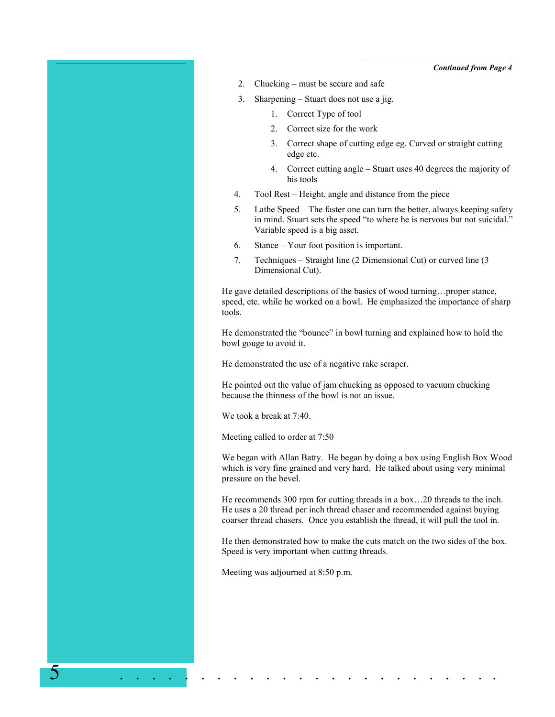*Continued from Page 4*

- 2. Chucking must be secure and safe
- 3. Sharpening Stuart does not use a jig.
	- 1. Correct Type of tool
	- 2. Correct size for the work
	- 3. Correct shape of cutting edge eg. Curved or straight cutting edge etc.
	- 4. Correct cutting angle Stuart uses 40 degrees the majority of his tools
- 4. Tool Rest Height, angle and distance from the piece
- 5. Lathe Speed The faster one can turn the better, always keeping safety in mind. Stuart sets the speed "to where he is nervous but not suicidal." Variable speed is a big asset.
- 6. Stance Your foot position is important.
- 7. Techniques Straight line (2 Dimensional Cut) or curved line (3 Dimensional Cut).

He gave detailed descriptions of the basics of wood turning…proper stance, speed, etc. while he worked on a bowl. He emphasized the importance of sharp tools.

He demonstrated the "bounce" in bowl turning and explained how to hold the bowl gouge to avoid it.

He demonstrated the use of a negative rake scraper.

He pointed out the value of jam chucking as opposed to vacuum chucking because the thinness of the bowl is not an issue.

We took a break at 7:40.

Meeting called to order at 7:50

We began with Allan Batty. He began by doing a box using English Box Wood which is very fine grained and very hard. He talked about using very minimal pressure on the bevel.

He recommends 300 rpm for cutting threads in a box…20 threads to the inch. He uses a 20 thread per inch thread chaser and recommended against buying coarser thread chasers. Once you establish the thread, it will pull the tool in.

He then demonstrated how to make the cuts match on the two sides of the box. Speed is very important when cutting threads.

Meeting was adjourned at 8:50 p.m.